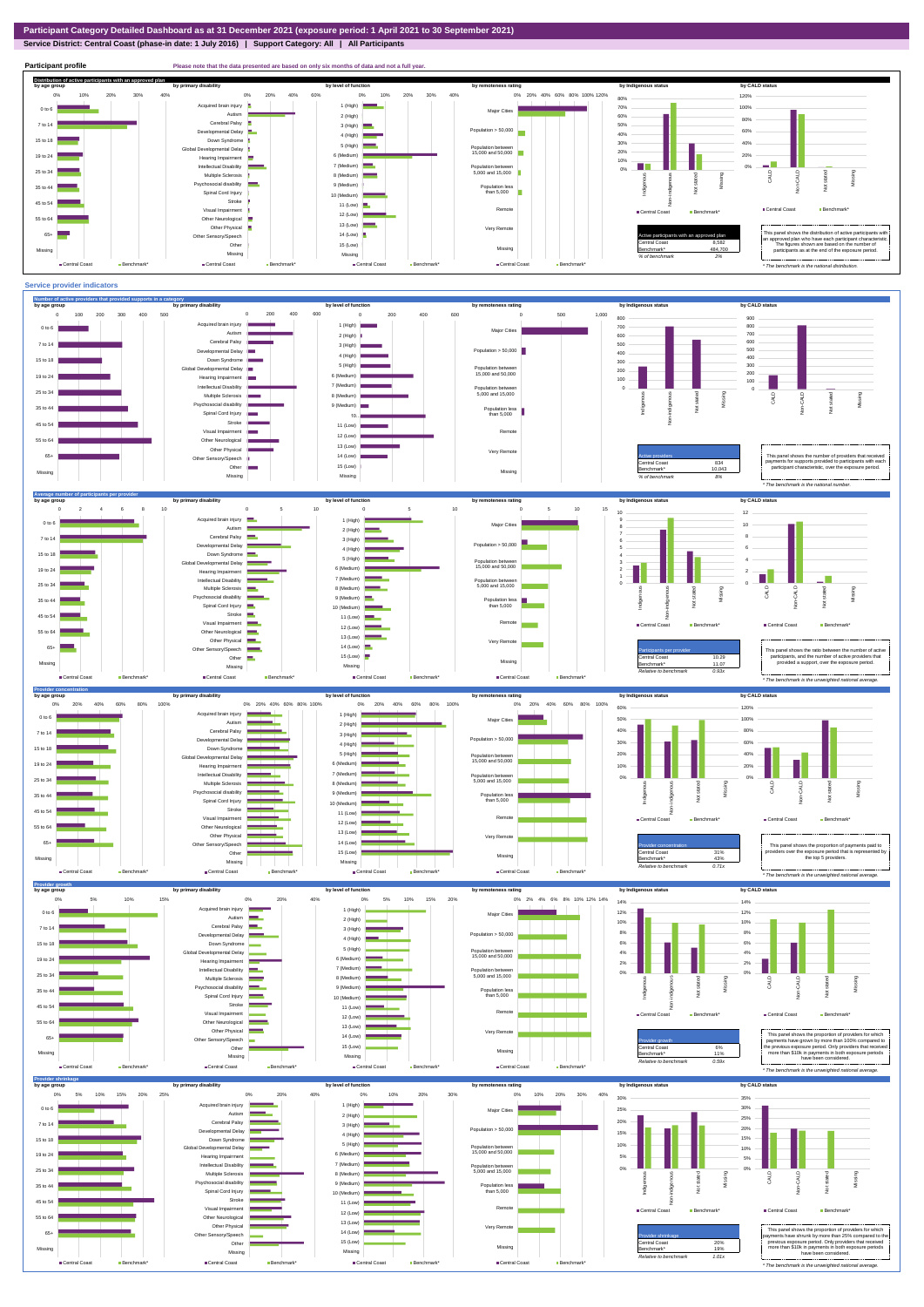### **Service District: Central Coast (phase-in date: 1 July 2016) | Support Category: All | All Participants**



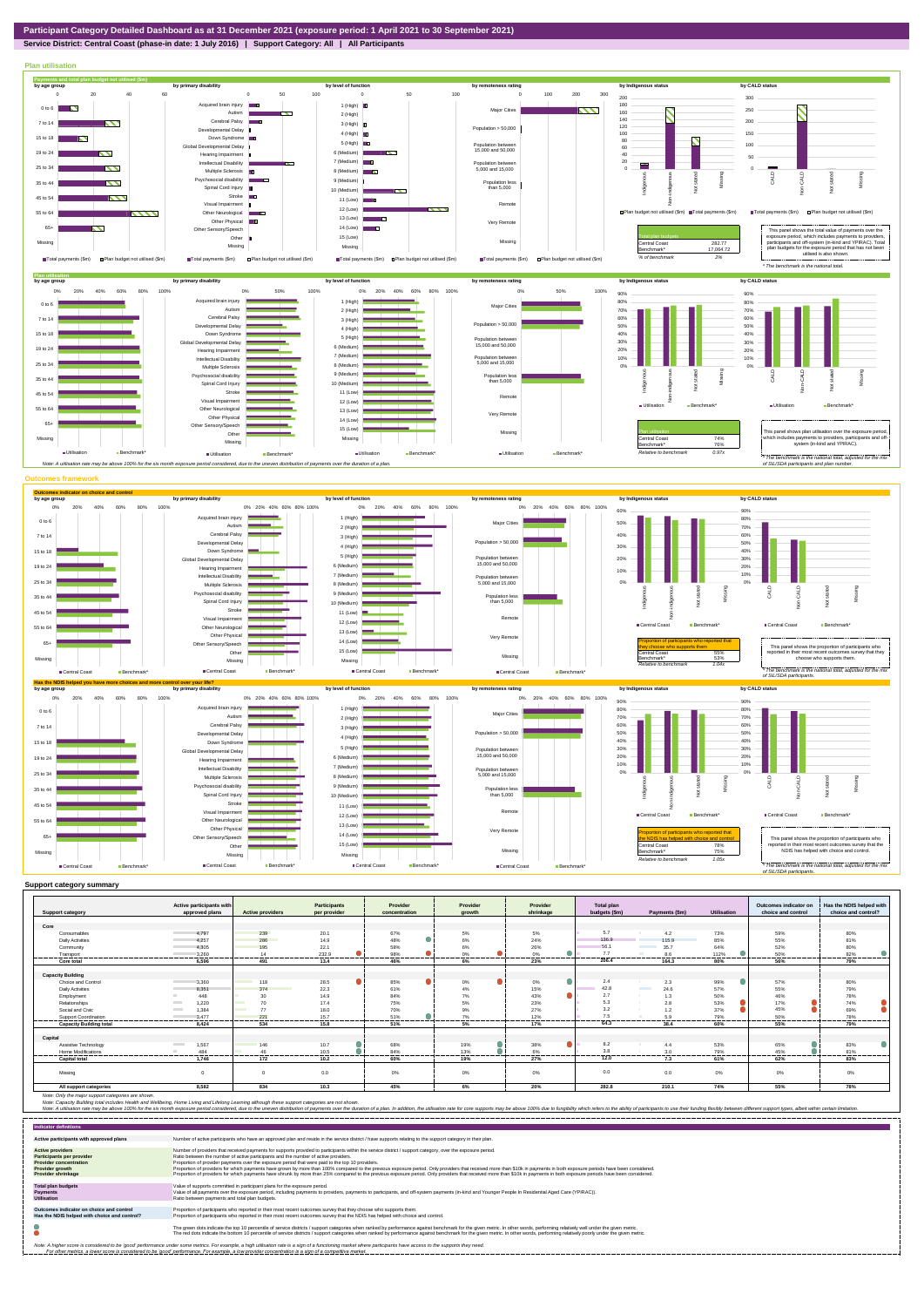## **Service District: Central Coast (phase-in date: 1 July 2016) | Support Category: All | All Participants**



|                                | Active participants with          |                                 | <b>Participants</b>    | Provider         | Provider                     | Provider  | Total plan    |                                  |             | Outcomes indicator on | Has the NDIS helped with    |
|--------------------------------|-----------------------------------|---------------------------------|------------------------|------------------|------------------------------|-----------|---------------|----------------------------------|-------------|-----------------------|-----------------------------|
| <b>Support category</b>        | approved plans                    | <b>Active providers</b>         | per provider           | concentration    | arowth                       | shrinkage | budgets (\$m) | Payments (\$m)                   | Utilisation | choice and control    | choice and control?         |
| Core                           |                                   |                                 |                        |                  |                              |           |               |                                  |             |                       |                             |
| Consumables                    | 4.797                             | 239                             | 20.1                   | 67%              | 5%                           | 5%        | 5.7           | 4.2                              | 73%         | 59%                   | 80%                         |
| <b>Daily Activities</b>        | 4.257                             | 286                             | 14.9                   | 48%              | 6%                           | 24%       | 136.9         | 115.9                            | 85%         | 55%                   | 81%                         |
| Community                      | 4.305                             | 195                             | 22.1                   | 58%              | 6%                           | 26%       | 56.1          | 35.7                             | 64%         | 52%                   | 80%                         |
| Transport                      | 3.260                             | 14                              | 232.9                  | 98%              | 0%                           | 0%        | 7.7           | 8.6                              | 112%        | 50%                   | 82%                         |
| <br>Core total                 | .<br>6,596                        | ----------<br>491               | ---------<br>.<br>13.4 | ---------<br>46% | ---------<br>---------<br>6% | .<br>23%  | 206.4         | .<br>164.3                       | .<br>80%    | .<br>56%              | ----------<br>------<br>79% |
|                                |                                   |                                 |                        |                  |                              |           |               |                                  |             |                       |                             |
| <b>Capacity Building</b>       |                                   |                                 |                        |                  |                              |           |               |                                  |             |                       |                             |
| Choice and Control             | 3,360                             | <b>Contract Contract</b><br>118 | 28.5                   | 85%              | $0\%$                        | 0%        | 2.4           | 2.3                              | 99%         | 57%                   | 80%                         |
| <b>Daily Activities</b>        | 8.351                             | 374<br><b>Contract</b>          | 22.3                   | 61%              | 4%                           | 15%       | 42.8          | <b>Contract Contract</b><br>24.6 | 57%         | 55%                   | 79%                         |
| Employment                     | 448                               | 30                              | 14.9                   | 84%              | 7%                           | 43%       | 2.7           | 1.3                              | 50%         | 46%                   | 78%                         |
| Relationships                  | 1,220<br><b>Contract</b>          | 70                              | 17.4                   | 75%              | 5%                           | 23%       | 5.3           | 2.8                              | 53%         | 17%                   | 74%                         |
| Social and Civic               | 1.384<br><b>Contract Contract</b> | <b>STATISTICS</b><br>77         | 18.0                   | 70%              | 9%                           | 27%       | 3.2           | 1.2                              | 37%         | 45%                   | 69%                         |
| Support Coordination           | 3.477                             | 221                             | 15.7                   | 51%              | 7%                           | 12%       | 7.5           | 5.9                              | 79%         | 50%                   | 78%                         |
| <b>Capacity Building total</b> | 8.424                             | 534                             | 15.8                   | 51%              | 5%                           | 17%       | 64.3          | 38.4                             | 60%         | 55%                   | <br>79%                     |
|                                |                                   |                                 |                        |                  |                              |           |               |                                  |             |                       |                             |
| Capital                        |                                   |                                 |                        |                  |                              |           |               |                                  |             |                       |                             |
| Assistive Technology           | 1,567<br><b>Contract</b>          | 146                             | 10.7                   | 68%              | 19%                          | 38%       | 8.2           | 4.4                              | 53%         | 65%                   | 83%                         |
| Home Modifications             | 484                               | 46                              | 10.5                   | 84%              | 13%                          | 6%        | 3.8           | 3.0                              | 79%         | 45%                   | 81%                         |
| <b>Capital total</b>           | 1.746                             | 172                             | 10.2                   | 60%              | 19%                          | 27%       | 12.0          | 7.3                              | 61%         | 62%                   | 83%                         |
|                                |                                   |                                 |                        |                  |                              |           |               |                                  |             |                       |                             |
| Missina                        | $\Omega$                          |                                 | 0.0                    | 0%               | 0%                           | 0%        | 0.0           | 0.0                              | 0%          | 0%                    | 0%                          |
|                                |                                   |                                 |                        |                  |                              |           |               |                                  |             |                       |                             |
| All support categories         | 8.582                             | 834                             | 10.3                   | 45%              | 6%                           | 20%       | 282.8         | 210.1                            | 74%         | 55%                   | 78%                         |

Note: Only the major support categories are shown.<br>Note: Capacity Building total individual Wellbeing, Home Living and Lifelong Learning although these support categories are not shown.<br>Note: A utilisation rate may be abov

| <b>Indicator definitions</b>                                                                                                                 |                                                                                                                                                                                                                                                                                                                                                                                                                                                                                                                                                                                                                                                                                                                                                                                                                 |
|----------------------------------------------------------------------------------------------------------------------------------------------|-----------------------------------------------------------------------------------------------------------------------------------------------------------------------------------------------------------------------------------------------------------------------------------------------------------------------------------------------------------------------------------------------------------------------------------------------------------------------------------------------------------------------------------------------------------------------------------------------------------------------------------------------------------------------------------------------------------------------------------------------------------------------------------------------------------------|
| Active participants with approved plans                                                                                                      | Number of active participants who have an approved plan and reside in the service district / have supports relating to the support category in their plan.                                                                                                                                                                                                                                                                                                                                                                                                                                                                                                                                                                                                                                                      |
| <b>Active providers</b><br><b>Participants per provider</b><br><b>Provider concentration</b><br>Provider growth<br><b>Provider shrinkage</b> | Number of providers that received payments for supports provided to participants within the service district / support category, over the exposure period.<br>Ratio between the number of active participants and the number of active providers.<br>Proportion of provider payments over the exposure period that were paid to the top 10 providers.<br>Proportion of providers for which payments have grown by more than 100% compared to the previous exposure period. Only providers that received more than \$10k in payments in both exposure periods have been considered.<br>Proportion of providers for which payments have shrunk by more than 25% compared to the previous exposure period. Only providers that received more than \$10k in payments in both exposure periods have been considered. |
| <b>Total plan budgets</b><br>Payments<br><b>Utilisation</b>                                                                                  | Value of supports committed in participant plans for the exposure period.<br>Value of all payments over the exposure period, including payments to providers, payments to participants, and off-system payments (in-kind and Younger People In Residential Aged Care (YPIRAC)).<br>Ratio between payments and total plan budgets.                                                                                                                                                                                                                                                                                                                                                                                                                                                                               |
| Outcomes indicator on choice and control<br>Has the NDIS helped with choice and control?                                                     | Proportion of participants who reported in their most recent outcomes survey that they choose who supports them.<br>Proportion of participants who reported in their most recent outcomes survey that the NDIS has helped with choice and control.                                                                                                                                                                                                                                                                                                                                                                                                                                                                                                                                                              |
|                                                                                                                                              | The green dots indicate the top 10 percentile of service districts / support categories when ranked by performance against benchmark for the given metric. In other words, performing relatively well under the given metric.<br>The red dots indicate the bottom 10 percentile of service districts / support categories when ranked by performance against benchmark for the given metric. In other words, performing relatively poorly under the given metri                                                                                                                                                                                                                                                                                                                                                 |
|                                                                                                                                              | Note: A higher score is considered to be 'good' performance under some metrics. For example, a high utilisation rate is a sign of a functioning market where participants have access to the supports they need.<br>For other metrics, a lower score is considered to be 'good' performance. For example, a low provider concentration is a sign of a competitive market.                                                                                                                                                                                                                                                                                                                                                                                                                                       |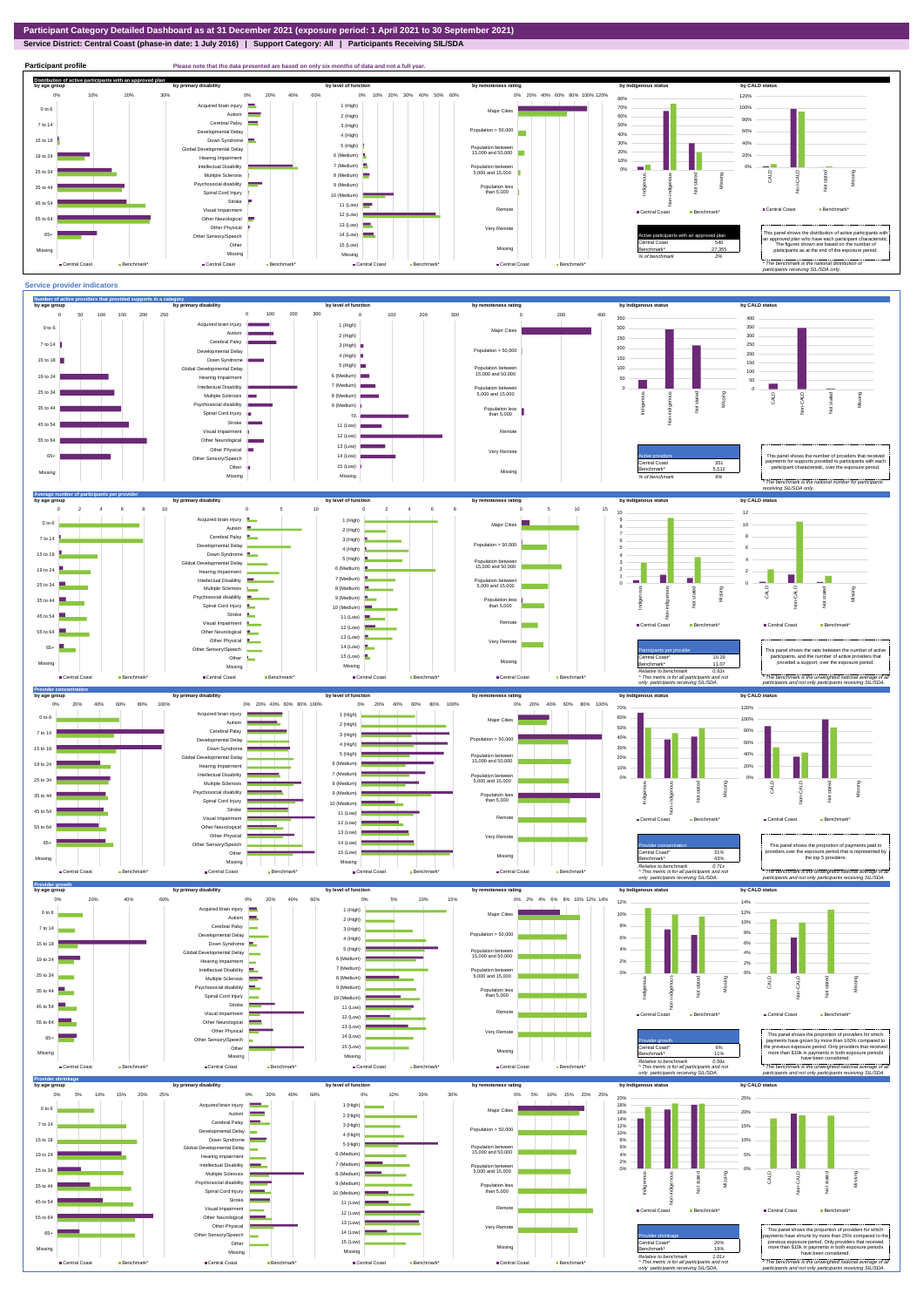**Service District: Central Coast (phase-in date: 1 July 2016) | Support Category: All | Participants Receiving SIL/SDA**



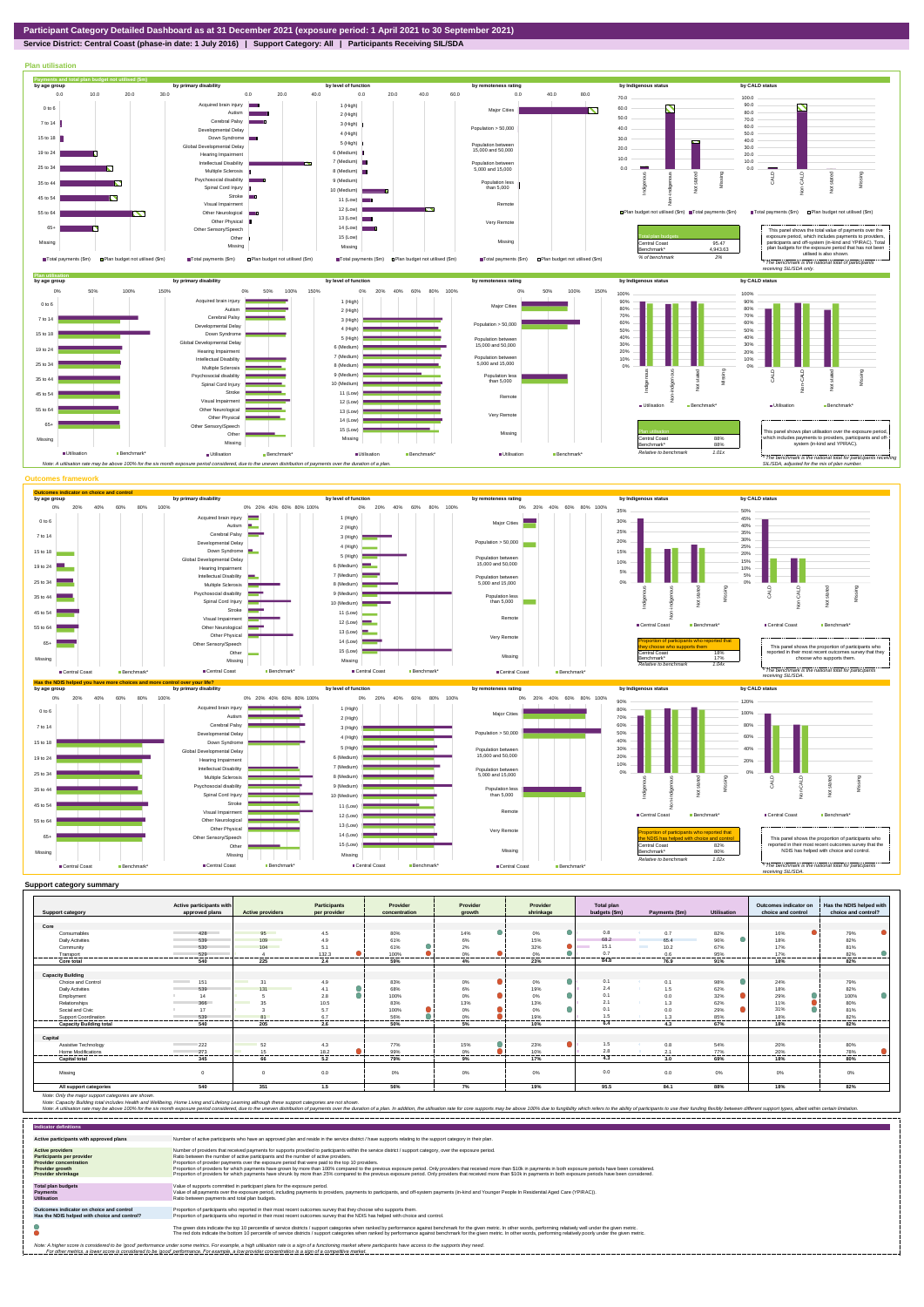

### **Service District: Central Coast (phase-in date: 1 July 2016) | Support Category: All | Participants Receiving SIL/SDA**



|                                | Active participants with        |                                | Participants                     | Provider               | Provider    | Provider           | Total plan       |                         |                    | Outcomes indicator on | Has the NDIS helped with |
|--------------------------------|---------------------------------|--------------------------------|----------------------------------|------------------------|-------------|--------------------|------------------|-------------------------|--------------------|-----------------------|--------------------------|
| <b>Support category</b>        | approved plans                  | <b>Active providers</b>        | per provider                     | concentration          | growth      | shrinkage          | budgets (\$m)    | Payments (\$m)          | <b>Utilisation</b> | choice and control    | choice and control?      |
| Core                           |                                 |                                |                                  |                        |             |                    |                  |                         |                    |                       |                          |
| Consumables                    | 428                             | 95                             | 4.5                              | 80%                    | 14%         |                    | 0.8              | 0.7                     | 82%                |                       | 79%                      |
|                                |                                 |                                |                                  |                        |             | 0%                 | 68.2             |                         |                    | 16%                   |                          |
| <b>Daily Activities</b>        | 539                             | $109 -$                        | 4.9                              | 61%                    | 6%          | 15%                | 15.1             | 65.4<br><b>Contract</b> | 96%                | 18%                   | 82%                      |
| Community                      | 530                             | 104                            | 5.1                              | 61%                    | 2%          | 32%                |                  | 10.2                    | 67%                | 17%                   | 81%                      |
| Transport<br>-----------       | 529                             |                                | 132.3<br>----------<br>--------- | 100%<br>---------<br>. | 0%<br><br>. | 0%<br>.<br>------- | 0.7<br>--------- | 0.6<br>                 | 95%<br>--------    | 17%<br>               | 82%<br>---------         |
| Core total                     | 540                             | 225                            | 2.4                              | 59%                    | 4%          | 23%                | 84.8             | 76.9                    | 91%                | 18%                   | 82%                      |
|                                |                                 |                                |                                  |                        |             |                    |                  |                         |                    |                       |                          |
| <b>Capacity Building</b>       |                                 |                                |                                  |                        |             |                    |                  |                         |                    |                       |                          |
| Choice and Control             | <b>Contract Contract</b><br>151 | <b>Contract Contract</b><br>31 | 4.9                              | 83%                    | $0\%$       | 0%                 | 0.1              | 0.1                     | 98%                | 24%                   | 79%                      |
| <b>Daily Activities</b>        | 539                             | 131<br><b>Contract</b>         | 4.1                              | 68%                    | 6%          | 19%                | 2.4              | 1.5                     | 62%                | 18%                   | 82%                      |
| Employment                     | 14                              |                                | 2.8                              | 100%                   | 0%          | 0%                 | 0.1              | 0.0                     | 32%                | 29%                   | 100%                     |
| Relationships                  | 366                             | 35<br><b>Contract Contract</b> | 10.5                             | 83%                    | 13%         | 13%                | 2.1              | 1.3                     | 62%                | 11%                   | 80%                      |
| Social and Civic               | 17                              |                                | 5.7                              | 100%                   | 0%          | 0%                 | 0.1              | 0.0                     | 29%                | 31%                   | 81%                      |
| Support Coordination           | 539                             | 81                             | 6.7                              | 56%                    | 0%          | 19%                | 1.5              | 1.3                     | 85%                | 18%                   | 82%                      |
| <b>Capacity Building total</b> | 540                             | 205                            | 2.6                              | 50%                    | 5%          | 10%                | 6.4              | 4.3                     | 67%                | 18%                   | 82%                      |
|                                |                                 |                                |                                  |                        |             |                    |                  |                         |                    |                       |                          |
| Capital                        |                                 |                                |                                  |                        |             |                    |                  |                         |                    |                       |                          |
| Assistive Technology           | 222                             | 52                             | 4.3                              | 77%                    | 15%         | 23%                | 1.5              | 0.8                     | 54%                | 20%                   | 80%                      |
| Home Modifications             | 273                             | 15                             | 18.2                             | 99%                    | 0%          | 10%                | 2.8              | 2.1                     | 77%                | 20%                   | 78%                      |
| <b>Capital total</b>           | 345                             | 66                             | 5.2                              | 79%                    | 9%          | 17%                | 4.3              | 3.0                     | 69%                | 18%                   | 80%                      |
|                                |                                 |                                |                                  |                        |             |                    |                  |                         |                    |                       |                          |
| Missina                        | $\Omega$                        | $\Omega$                       | 0.0                              | 0%                     | 0%          | 0%                 | 0.0              | 0.0                     | 0%                 | 0%                    | 0%                       |
|                                |                                 |                                |                                  |                        |             |                    |                  |                         |                    |                       |                          |
| All support categories         | 540                             | 351                            | 1.5                              | 56%                    | 7%          | 19%                | 95.5             | 84.1                    | 88%                | 18%                   | 82%                      |

Note: Only the major support categories are shown.<br>Note: Capacity Building total individual Wellbeing, Home Living and Lifelong Learning although these support categories are not shown.<br>Note: A utilisation rate may be abov

| <b>Indicator definitions</b>                                                                                                                 |                                                                                                                                                                                                                                                                                                                                                                                                                                                                                                                                                                                                                                                                                                                                                                                                                 |
|----------------------------------------------------------------------------------------------------------------------------------------------|-----------------------------------------------------------------------------------------------------------------------------------------------------------------------------------------------------------------------------------------------------------------------------------------------------------------------------------------------------------------------------------------------------------------------------------------------------------------------------------------------------------------------------------------------------------------------------------------------------------------------------------------------------------------------------------------------------------------------------------------------------------------------------------------------------------------|
| Active participants with approved plans                                                                                                      | Number of active participants who have an approved plan and reside in the service district / have supports relating to the support category in their plan.                                                                                                                                                                                                                                                                                                                                                                                                                                                                                                                                                                                                                                                      |
| <b>Active providers</b><br>Participants per provider<br><b>Provider concentration</b><br><b>Provider growth</b><br><b>Provider shrinkage</b> | Number of providers that received payments for supports provided to participants within the service district / support category, over the exposure period,<br>Ratio between the number of active participants and the number of active providers.<br>Proportion of provider payments over the exposure period that were paid to the top 10 providers.<br>Proportion of providers for which payments have grown by more than 100% compared to the previous exposure period. Only providers that received more than \$10k in payments in both exposure periods have been considered.<br>Proportion of providers for which payments have shrunk by more than 25% compared to the previous exposure period. Only providers that received more than \$10k in payments in both exposure periods have been considered. |
| <b>Total plan budgets</b><br><b>Payments</b><br><b>Utilisation</b>                                                                           | Value of supports committed in participant plans for the exposure period.<br>Value of all payments over the exposure period, including payments to providers, payments to participants, and off-system payments (in-kind and Younger People In Residential Aged Care (YPIRAC)).<br>Ratio between payments and total plan budgets.                                                                                                                                                                                                                                                                                                                                                                                                                                                                               |
| Outcomes indicator on choice and control<br>Has the NDIS helped with choice and control?                                                     | Proportion of participants who reported in their most recent outcomes survey that they choose who supports them.<br>Proportion of participants who reported in their most recent outcomes survey that the NDIS has helped with choice and control.                                                                                                                                                                                                                                                                                                                                                                                                                                                                                                                                                              |
|                                                                                                                                              | The green dots indicate the top 10 percentile of service districts / support categories when ranked by performance against benchmark for the given metric. In other words, performing relatively well under the given metric.<br>The red dots indicate the bottom 10 percentile of service districts / support categories when ranked by performance against benchmark for the given metric. In other words, performing relatively poorly under the given metri                                                                                                                                                                                                                                                                                                                                                 |
|                                                                                                                                              | Note: A higher score is considered to be 'good' performance under some metrics. For example, a high utilisation rate is a sign of a functioning market where participants have access to the supports they need.<br>For other metrics, a lower score is considered to be 'good' performance. For example, a low provider concentration is a sign of a competitive market.                                                                                                                                                                                                                                                                                                                                                                                                                                       |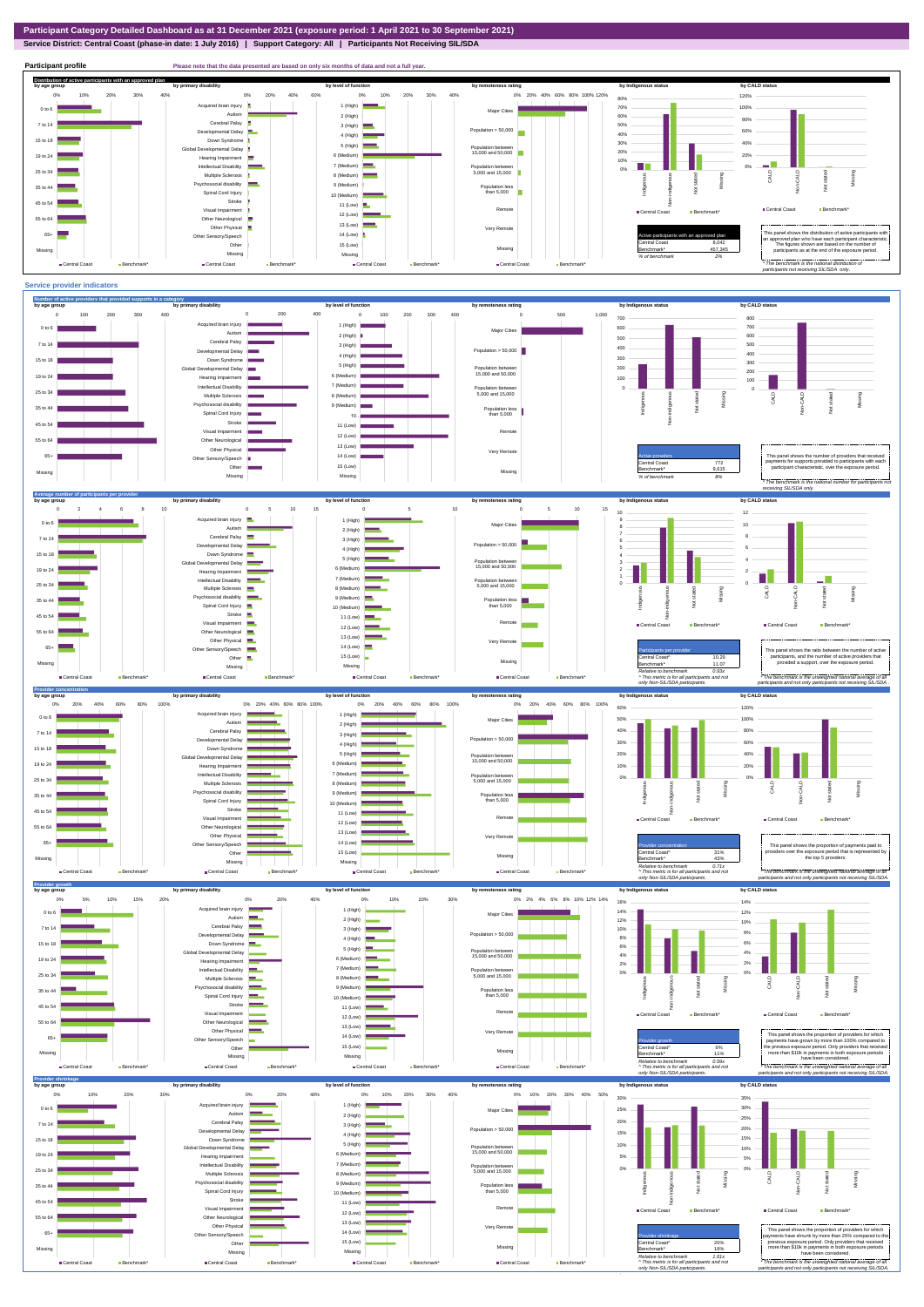# **Service District: Central Coast (phase-in date: 1 July 2016) | Support Category: All | Participants Not Receiving SIL/SDA**